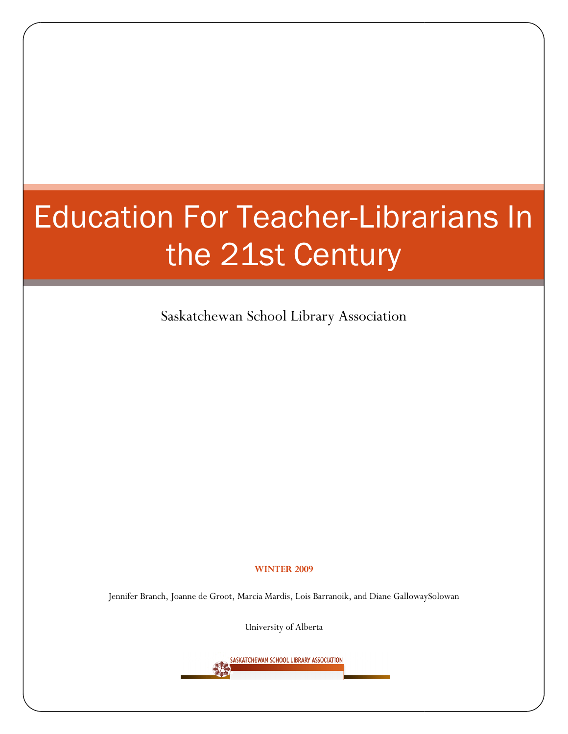# Education For Teacher-Librarians In<br>the 21st Century<br>Saskatchewan School Library Association the 21st Century

Saskatchewan School Library Association

#### WINTER 2009

Jennifer Branch, Joanne de Groot, Marcia Mardis, Lois Barranoik, and Diane GallowaySolowan

University of Alberta

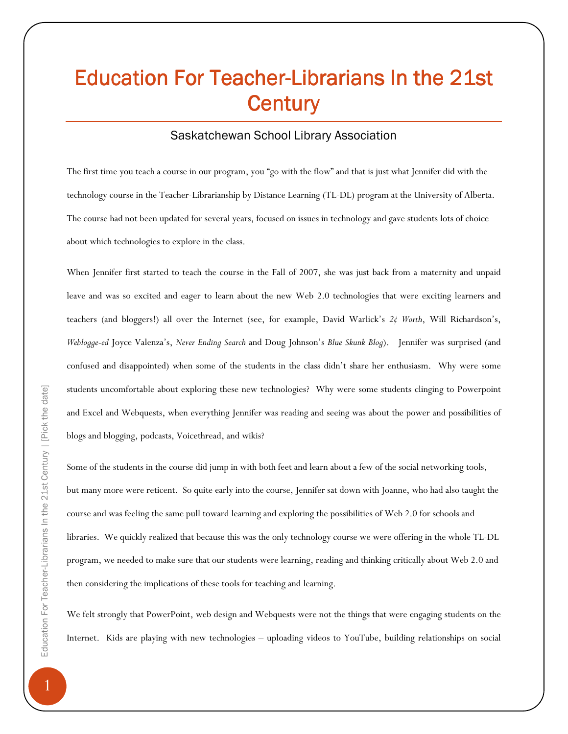# Education For Teacher-Librarians In the 21st **Century**

### Saskatchewan School Library Association

The first time you teach a course in our program, you "go with the flow" and that is just what Jennifer did with the technology course in the Teacher-Librarianship by Distance Learning (TL-DL) program at the University of Alberta. The course had not been updated for several years, focused on issues in technology and gave students lots of choice about which technologies to explore in the class.

When Jennifer first started to teach the course in the Fall of 2007, she was just back from a maternity and unpaid leave and was so excited and eager to learn about the new Web 2.0 technologies that were exciting learners and teachers (and bloggers!) all over the Internet (see, for example, David Warlick's 2¢ Worth, Will Richardson's, Weblogge-ed Joyce Valenza's, Never Ending Search and Doug Johnson's Blue Skunk Blog). Jennifer was surprised (and confused and disappointed) when some of the students in the class didn't share her enthusiasm. Why were some students uncomfortable about exploring these new technologies? Why were some students clinging to Powerpoint and Excel and Webquests, when everything Jennifer was reading and seeing was about the power and possibilities of blogs and blogging, podcasts, Voicethread, and wikis?

Some of the students in the course did jump in with both feet and learn about a few of the social networking tools, but many more were reticent. So quite early into the course, Jennifer sat down with Joanne, who had also taught the course and was feeling the same pull toward learning and exploring the possibilities of Web 2.0 for schools and libraries. We quickly realized that because this was the only technology course we were offering in the whole TL-DL program, we needed to make sure that our students were learning, reading and thinking critically about Web 2.0 and then considering the implications of these tools for teaching and learning.

We felt strongly that PowerPoint, web design and Webquests were not the things that were engaging students on the Internet. Kids are playing with new technologies – uploading videos to YouTube, building relationships on social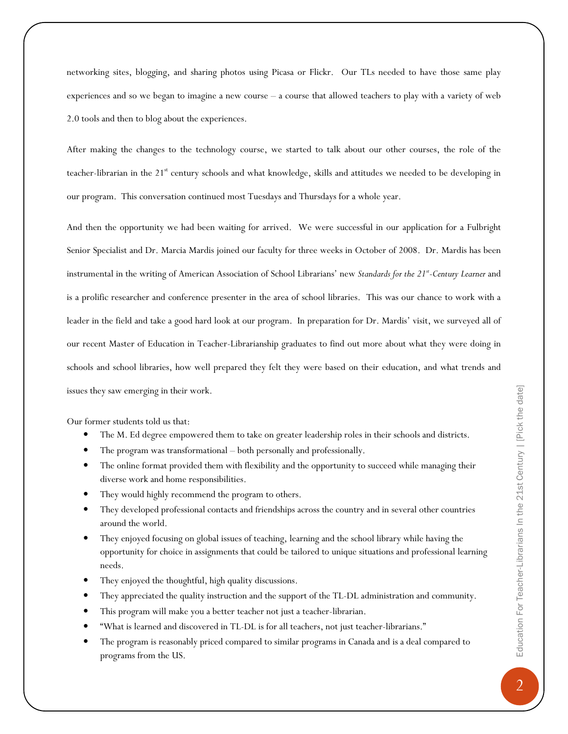networking sites, blogging, and sharing photos using Picasa or Flickr. Our TLs needed to have those same play experiences and so we began to imagine a new course – a course that allowed teachers to play with a variety of web 2.0 tools and then to blog about the experiences.

After making the changes to the technology course, we started to talk about our other courses, the role of the teacher-librarian in the 21<sup>st</sup> century schools and what knowledge, skills and attitudes we needed to be developing in our program. This conversation continued most Tuesdays and Thursdays for a whole year.

And then the opportunity we had been waiting for arrived. We were successful in our application for a Fulbright Senior Specialist and Dr. Marcia Mardis joined our faculty for three weeks in October of 2008. Dr. Mardis has been instrumental in the writing of American Association of School Librarians' new Standards for the 21st-Century Learner and is a prolific researcher and conference presenter in the area of school libraries. This was our chance to work with a leader in the field and take a good hard look at our program. In preparation for Dr. Mardis' visit, we surveyed all of our recent Master of Education in Teacher-Librarianship graduates to find out more about what they were doing in schools and school libraries, how well prepared they felt they were based on their education, and what trends and issues they saw emerging in their work.

Our former students told us that:

- The M. Ed degree empowered them to take on greater leadership roles in their schools and districts.
- The program was transformational both personally and professionally.
- The online format provided them with flexibility and the opportunity to succeed while managing their diverse work and home responsibilities.
- They would highly recommend the program to others.
- They developed professional contacts and friendships across the country and in several other countries around the world.
- They enjoyed focusing on global issues of teaching, learning and the school library while having the opportunity for choice in assignments that could be tailored to unique situations and professional learning needs.
- They enjoyed the thoughtful, high quality discussions.
- They appreciated the quality instruction and the support of the TL-DL administration and community.
- This program will make you a better teacher not just a teacher-librarian.
- "What is learned and discovered in TL-DL is for all teachers, not just teacher-librarians."
- The program is reasonably priced compared to similar programs in Canada and is a deal compared to programs from the US.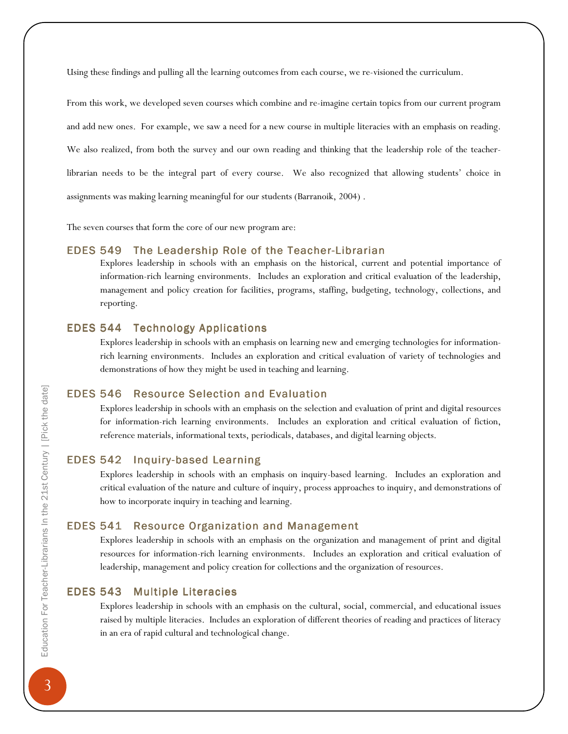Using these findings and pulling all the learning outcomes from each course, we re-visioned the curriculum.

From this work, we developed seven courses which combine and re-imagine certain topics from our current program and add new ones. For example, we saw a need for a new course in multiple literacies with an emphasis on reading. We also realized, from both the survey and our own reading and thinking that the leadership role of the teacherlibrarian needs to be the integral part of every course. We also recognized that allowing students' choice in assignments was making learning meaningful for our students (Barranoik, 2004) .

The seven courses that form the core of our new program are:

#### EDES 549 The Leadership Role of the Teacher-Librarian

Explores leadership in schools with an emphasis on the historical, current and potential importance of information-rich learning environments. Includes an exploration and critical evaluation of the leadership, management and policy creation for facilities, programs, staffing, budgeting, technology, collections, and reporting.

#### EDES 544 Technology Applications

Explores leadership in schools with an emphasis on learning new and emerging technologies for informationrich learning environments. Includes an exploration and critical evaluation of variety of technologies and demonstrations of how they might be used in teaching and learning.

#### **EDES 546 Resource Selection and Evaluation Resource Selection**

Explores leadership in schools with an emphasis on the selection and evaluation of print and digital resources for information-rich learning environments. Includes an exploration and critical evaluation of fiction, reference materials, informational texts, periodicals, databases, and digital learning objects.

#### EDES 542 Inquiry-based Learning

Explores leadership in schools with an emphasis on inquiry-based learning. Includes an exploration and critical evaluation of the nature and culture of inquiry, process approaches to inquiry, and demonstrations of how to incorporate inquiry in teaching and learning.

#### EDES 541 Resource Organization and Management

Explores leadership in schools with an emphasis on the organization and management of print and digital resources for information-rich learning environments. Includes an exploration and critical evaluation of leadership, management and policy creation for collections and the organization of resources.

#### EDES 543 Multiple Literacies

Explores leadership in schools with an emphasis on the cultural, social, commercial, and educational issues raised by multiple literacies. Includes an exploration of different theories of reading and practices of literacy in an era of rapid cultural and technological change.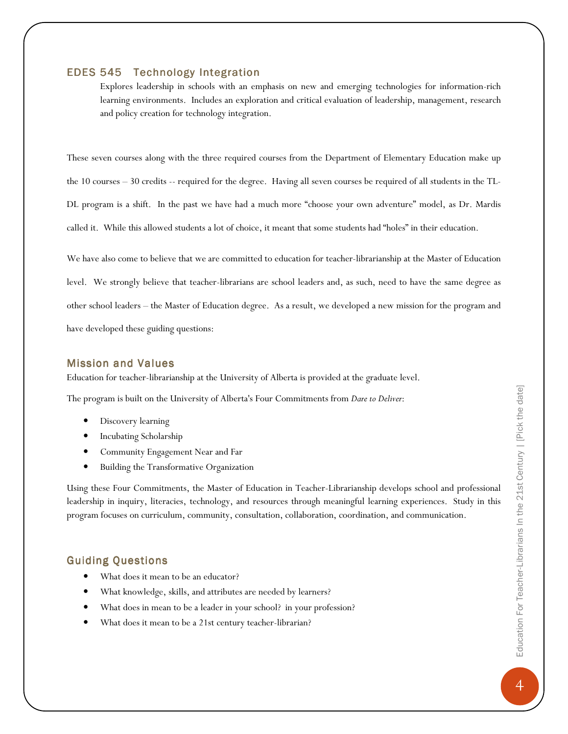#### **EDES 545 Technology Integration**

Explores leadership in schools with an emphasis on new and emerging technologies for information-rich learning environments. Includes an exploration and critical evaluation of leadership, management, research and policy creation for technology integration.

These seven courses along with the three required courses from the Department of Elementary Education make up the 10 courses – 30 credits -- required for the degree. Having all seven courses be required of all students in the TL-DL program is a shift. In the past we have had a much more "choose your own adventure" model, as Dr. Mardis called it. While this allowed students a lot of choice, it meant that some students had "holes" in their education.

We have also come to believe that we are committed to education for teacher-librarianship at the Master of Education level. We strongly believe that teacher-librarians are school leaders and, as such, need to have the same degree as other school leaders – the Master of Education degree. As a result, we developed a new mission for the program and have developed these guiding questions:

#### **Mission and Values**

Education for teacher-librarianship at the University of Alberta is provided at the graduate level.

The program is built on the University of Alberta's Four Commitments from Dare to Deliver:

- Discovery learning
- Incubating Scholarship
- Community Engagement Near and Far
- Building the Transformative Organization

Using these Four Commitments, the Master of Education in Teacher-Librarianship develops school and professional leadership in inquiry, literacies, technology, and resources through meaningful learning experiences. Study in this program focuses on curriculum, community, consultation, collaboration, coordination, and communication.

#### Guiding Questions Questions

- What does it mean to be an educator?
- What knowledge, skills, and attributes are needed by learners?
- What does in mean to be a leader in your school? in your profession?
- What does it mean to be a 21st century teacher-librarian?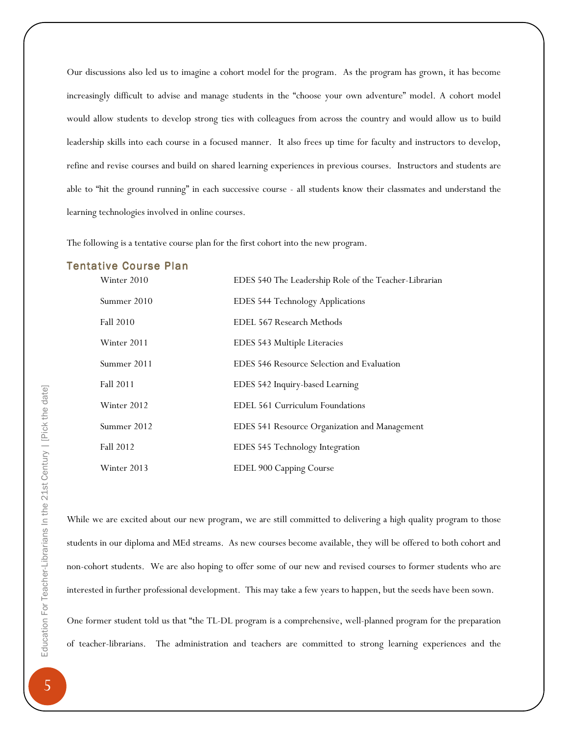Our discussions also led us to imagine a cohort model for the program. As the program has grown, it has become increasingly difficult to advise and manage students in the "choose your own adventure" model. A cohort model would allow students to develop strong ties with colleagues from across the country and would allow us to build leadership skills into each course in a focused manner. It also frees up time for faculty and instructors to develop, refine and revise courses and build on shared learning experiences in previous courses. Instructors and students are able to "hit the ground running" in each successive course - all students know their classmates and understand the learning technologies involved in online courses.

The following is a tentative course plan for the first cohort into the new program.

#### **Tentative Course Plan**

| Winter 2010 | EDES 540 The Leadership Role of the Teacher-Librarian |
|-------------|-------------------------------------------------------|
| Summer 2010 | <b>EDES 544 Technology Applications</b>               |
| Fall 2010   | EDEL 567 Research Methods                             |
| Winter 2011 | EDES 543 Multiple Literacies                          |
| Summer 2011 | EDES 546 Resource Selection and Evaluation            |
| Fall 2011   | EDES 542 Inquiry-based Learning                       |
| Winter 2012 | EDEL 561 Curriculum Foundations                       |
| Summer 2012 | EDES 541 Resource Organization and Management         |
| Fall 2012   | EDES 545 Technology Integration                       |
| Winter 2013 | EDEL 900 Capping Course                               |

While we are excited about our new program, we are still committed to delivering a high quality program to those students in our diploma and MEd streams. As new courses become available, they will be offered to both cohort and non-cohort students. We are also hoping to offer some of our new and revised courses to former students who are interested in further professional development. This may take a few years to happen, but the seeds have been sown.

One former student told us that "the TL-DL program is a comprehensive, well-planned program for the preparation of teacher-librarians. The administration and teachers are committed to strong learning experiences and the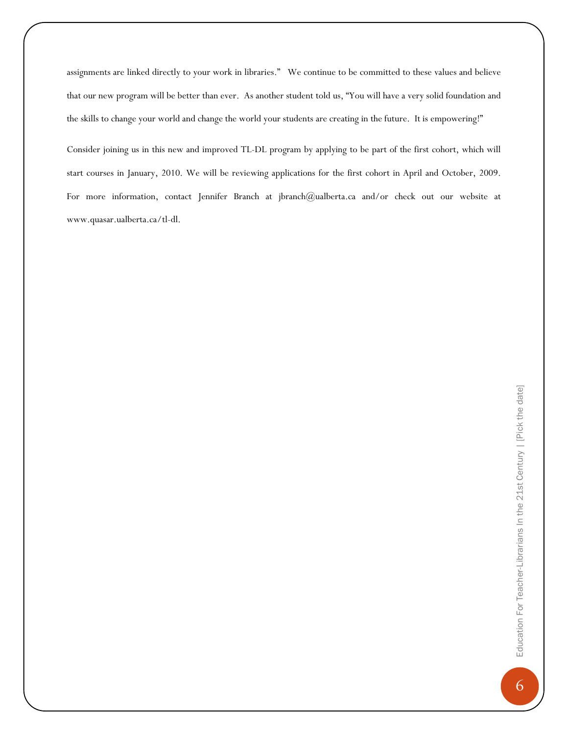assignments are linked directly to your work in libraries." We continue to be committed to these values and believe that our new program will be better than ever. As another student told us, "You will have a very solid foundation and the skills to change your world and change the world your students are creating in the future. It is empowering!"

Consider joining us in this new and improved TL-DL program by applying to be part of the first cohort, which will start courses in January, 2010. We will be reviewing applications for the first cohort in April and October, 2009. For more information, contact Jennifer Branch at jbranch@ualberta.ca and/or check out our website at www.quasar.ualberta.ca/tl-dl.